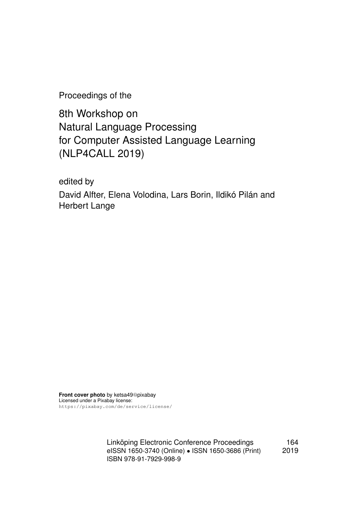Proceedings of the

8th Workshop on Natural Language Processing for Computer Assisted Language Learning (NLP4CALL 2019)

edited by

David Alfter, Elena Volodina, Lars Borin, Ildikó Pilán and Herbert Lange

**Front cover photo** by ketsa49@pixabay Licensed under a Pixabay license: https://pixabay.com/de/service/license/

> Linköping Electronic Conference Proceedings 164 eISSN 1650-3740 (Online) • ISSN 1650-3686 (Print) 2019 ISBN 978-91-7929-998-9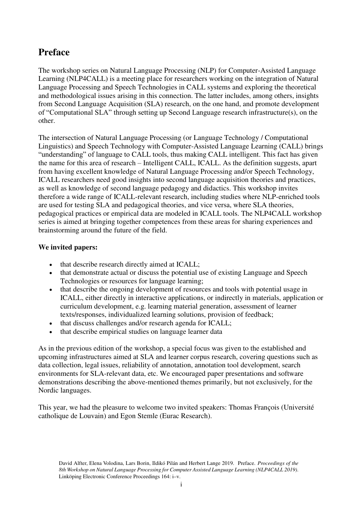# **Preface**

The workshop series on Natural Language Processing (NLP) for Computer-Assisted Language Learning (NLP4CALL) is a meeting place for researchers working on the integration of Natural Language Processing and Speech Technologies in CALL systems and exploring the theoretical and methodological issues arising in this connection. The latter includes, among others, insights from Second Language Acquisition (SLA) research, on the one hand, and promote development of "Computational SLA" through setting up Second Language research infrastructure(s), on the other.

The intersection of Natural Language Processing (or Language Technology / Computational Linguistics) and Speech Technology with Computer-Assisted Language Learning (CALL) brings "understanding" of language to CALL tools, thus making CALL intelligent. This fact has given the name for this area of research – Intelligent CALL, ICALL. As the definition suggests, apart from having excellent knowledge of Natural Language Processing and/or Speech Technology, ICALL researchers need good insights into second language acquisition theories and practices, as well as knowledge of second language pedagogy and didactics. This workshop invites therefore a wide range of ICALL-relevant research, including studies where NLP-enriched tools are used for testing SLA and pedagogical theories, and vice versa, where SLA theories, pedagogical practices or empirical data are modeled in ICALL tools. The NLP4CALL workshop series is aimed at bringing together competences from these areas for sharing experiences and brainstorming around the future of the field.

### **We invited papers:**

- that describe research directly aimed at ICALL;
- that demonstrate actual or discuss the potential use of existing Language and Speech Technologies or resources for language learning;
- that describe the ongoing development of resources and tools with potential usage in ICALL, either directly in interactive applications, or indirectly in materials, application or curriculum development, e.g. learning material generation, assessment of learner texts/responses, individualized learning solutions, provision of feedback;
- that discuss challenges and/or research agenda for ICALL;
- that describe empirical studies on language learner data

As in the previous edition of the workshop, a special focus was given to the established and upcoming infrastructures aimed at SLA and learner corpus research, covering questions such as data collection, legal issues, reliability of annotation, annotation tool development, search environments for SLA-relevant data, etc. We encouraged paper presentations and software demonstrations describing the above-mentioned themes primarily, but not exclusively, for the Nordic languages.

This year, we had the pleasure to welcome two invited speakers: Thomas François (Université catholique de Louvain) and Egon Stemle (Eurac Research).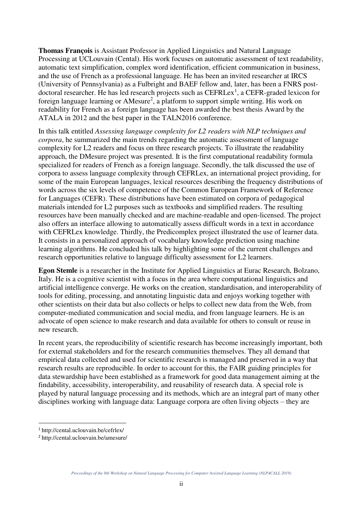**Thomas François** is Assistant Professor in Applied Linguistics and Natural Language Processing at UCLouvain (Cental). His work focuses on automatic assessment of text readability, automatic text simplification, complex word identification, efficient communication in business, and the use of French as a professional language. He has been an invited researcher at IRCS (University of Pennsylvania) as a Fulbright and BAEF fellow and, later, has been a FNRS postdoctoral researcher. He has led research projects such as CEFRLex<sup>1</sup>, a CEFR-graded lexicon for foreign language learning or AMesure<sup>2</sup>, a platform to support simple writing. His work on readability for French as a foreign language has been awarded the best thesis Award by the ATALA in 2012 and the best paper in the TALN2016 conference.

In this talk entitled *Assessing language complexity for L2 readers with NLP techniques and corpora*, he summarized the main trends regarding the automatic assessment of language complexity for L2 readers and focus on three research projects. To illustrate the readability approach, the DMesure project was presented. It is the first computational readability formula specialized for readers of French as a foreign language. Secondly, the talk discussed the use of corpora to assess language complexity through CEFRLex, an international project providing, for some of the main European languages, lexical resources describing the frequency distributions of words across the six levels of competence of the Common European Framework of Reference for Languages (CEFR). These distributions have been estimated on corpora of pedagogical materials intended for L2 purposes such as textbooks and simplified readers. The resulting resources have been manually checked and are machine-readable and open-licensed. The project also offers an interface allowing to automatically assess difficult words in a text in accordance with CEFRLex knowledge. Thirdly, the Predicomplex project illustrated the use of learner data. It consists in a personalized approach of vocabulary knowledge prediction using machine learning algorithms. He concluded his talk by highlighting some of the current challenges and research opportunities relative to language difficulty assessment for L2 learners.

**Egon Stemle** is a researcher in the Institute for Applied Linguistics at Eurac Research, Bolzano, Italy. He is a cognitive scientist with a focus in the area where computational linguistics and artificial intelligence converge. He works on the creation, standardisation, and interoperability of tools for editing, processing, and annotating linguistic data and enjoys working together with other scientists on their data but also collects or helps to collect new data from the Web, from computer-mediated communication and social media, and from language learners. He is an advocate of open science to make research and data available for others to consult or reuse in new research.

In recent years, the reproducibility of scientific research has become increasingly important, both for external stakeholders and for the research communities themselves. They all demand that empirical data collected and used for scientific research is managed and preserved in a way that research results are reproducible. In order to account for this, the FAIR guiding principles for data stewardship have been established as a framework for good data management aiming at the findability, accessibility, interoperability, and reusability of research data. A special role is played by natural language processing and its methods, which are an integral part of many other disciplines working with language data: Language corpora are often living objects – they are

l

<sup>1</sup> http://cental.uclouvain.be/cefrlex/

<sup>2</sup> http://cental.uclouvain.be/amesure/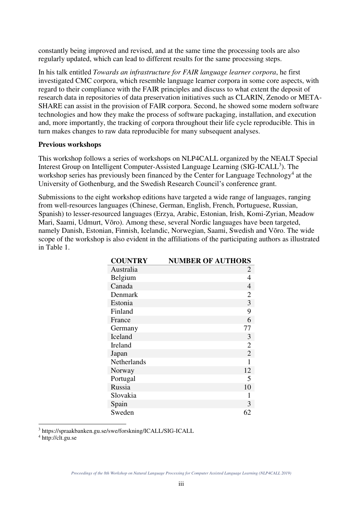constantly being improved and revised, and at the same time the processing tools are also regularly updated, which can lead to different results for the same processing steps.

In his talk entitled *Towards an infrastructure for FAIR language learner corpora*, he first investigated CMC corpora, which resemble language learner corpora in some core aspects, with regard to their compliance with the FAIR principles and discuss to what extent the deposit of research data in repositories of data preservation initiatives such as CLARIN, Zenodo or META-SHARE can assist in the provision of FAIR corpora. Second, he showed some modern software technologies and how they make the process of software packaging, installation, and execution and, more importantly, the tracking of corpora throughout their life cycle reproducible. This in turn makes changes to raw data reproducible for many subsequent analyses.

#### **Previous workshops**

This workshop follows a series of workshops on NLP4CALL organized by the NEALT Special Interest Group on Intelligent Computer-Assisted Language Learning (SIG-ICALL<sup>3</sup>). The workshop series has previously been financed by the Center for Language Technology<sup>4</sup> at the University of Gothenburg, and the Swedish Research Council's conference grant.

Submissions to the eight workshop editions have targeted a wide range of languages, ranging from well-resources languages (Chinese, German, English, French, Portuguese, Russian, Spanish) to lesser-resourced languages (Erzya, Arabic, Estonian, Irish, Komi-Zyrian, Meadow Mari, Saami, Udmurt, Võro). Among these, several Nordic languages have been targeted, namely Danish, Estonian, Finnish, Icelandic, Norwegian, Saami, Swedish and Võro. The wide scope of the workshop is also evident in the affiliations of the participating authors as illustrated in Table 1.

| <b>COUNTRY</b> | <b>NUMBER OF AUTHORS</b> |
|----------------|--------------------------|
| Australia      | 2                        |
| Belgium        | 4                        |
| Canada         | $\overline{4}$           |
| Denmark        | $\overline{2}$           |
| Estonia        | $rac{3}{9}$              |
| Finland        |                          |
| France         | 6                        |
| Germany        | 77                       |
| Iceland        | 3                        |
| Ireland        | $\overline{2}$           |
| Japan          | $\overline{2}$           |
| Netherlands    | 1                        |
| Norway         | 12                       |
| Portugal       | 5                        |
| Russia         | 10                       |
| Slovakia       | 1                        |
| Spain          | 3                        |
| Sweden         | 62                       |

<sup>3</sup> https://spraakbanken.gu.se/swe/forskning/ICALL/SIG-ICALL

4 http://clt.gu.se

 $\overline{a}$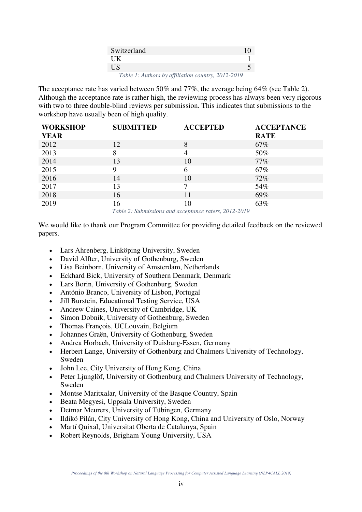| Switzerland                                        | 10 |
|----------------------------------------------------|----|
| UK.                                                |    |
| US                                                 |    |
| Table 1: Authors by affiliation country, 2012-2019 |    |

The acceptance rate has varied between 50% and 77%, the average being 64% (see Table 2). Although the acceptance rate is rather high, the reviewing process has always been very rigorous with two to three double-blind reviews per submission. This indicates that submissions to the workshop have usually been of high quality.

| <b>WORKSHOP</b> | <b>SUBMITTED</b> | <b>ACCEPTED</b>       | <b>ACCEPTANCE</b> |
|-----------------|------------------|-----------------------|-------------------|
| <b>YEAR</b>     |                  |                       | <b>RATE</b>       |
| 2012            | 12               | 8                     | 67%               |
| 2013            | 8                | $\overline{4}$        | 50%               |
| 2014            | 13               | 10                    | $77\%$            |
| 2015            | 9                | 6                     | 67%               |
| 2016            | 14               | 10                    | 72%               |
| 2017            | 13               | 7                     | 54%               |
| 2018            | 16               |                       | 69%               |
| 2019            | 16               | 10<br>$0.010$ $0.010$ | 63%               |

*Table 2: Submissions and acceptance raters, 2012-2019*

We would like to thank our Program Committee for providing detailed feedback on the reviewed papers.

- Lars Ahrenberg, Linköping University, Sweden
- David Alfter, University of Gothenburg, Sweden
- Lisa Beinborn, University of Amsterdam, Netherlands
- Eckhard Bick, University of Southern Denmark, Denmark
- Lars Borin, University of Gothenburg, Sweden
- António Branco, University of Lisbon, Portugal
- Jill Burstein, Educational Testing Service, USA
- Andrew Caines, University of Cambridge, UK
- Simon Dobnik, University of Gothenburg, Sweden
- Thomas François, UCLouvain, Belgium
- Johannes Graën, University of Gothenburg, Sweden
- Andrea Horbach, University of Duisburg-Essen, Germany
- Herbert Lange, University of Gothenburg and Chalmers University of Technology, Sweden
- John Lee, City University of Hong Kong, China
- Peter Ljunglöf, University of Gothenburg and Chalmers University of Technology, Sweden
- Montse Maritxalar, University of the Basque Country, Spain
- Beata Megyesi, Uppsala University, Sweden
- Detmar Meurers, University of Tübingen, Germany
- Ildikó Pilán, City University of Hong Kong, China and University of Oslo, Norway
- Martí Quixal, Universitat Oberta de Catalunya, Spain
- Robert Reynolds, Brigham Young University, USA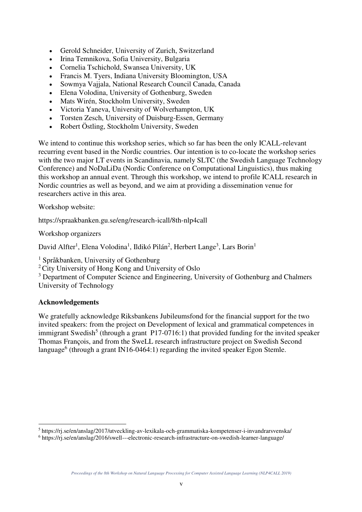- Gerold Schneider, University of Zurich, Switzerland
- Irina Temnikova, Sofia University, Bulgaria
- Cornelia Tschichold, Swansea University, UK
- Francis M. Tyers, Indiana University Bloomington, USA
- Sowmya Vajjala, National Research Council Canada, Canada
- Elena Volodina, University of Gothenburg, Sweden
- Mats Wirén, Stockholm University, Sweden
- Victoria Yaneva, University of Wolverhampton, UK
- Torsten Zesch, University of Duisburg-Essen, Germany
- Robert Östling, Stockholm University, Sweden

We intend to continue this workshop series, which so far has been the only ICALL-relevant recurring event based in the Nordic countries. Our intention is to co-locate the workshop series with the two major LT events in Scandinavia, namely SLTC (the Swedish Language Technology Conference) and NoDaLiDa (Nordic Conference on Computational Linguistics), thus making this workshop an annual event. Through this workshop, we intend to profile ICALL research in Nordic countries as well as beyond, and we aim at providing a dissemination venue for researchers active in this area.

Workshop website:

https://spraakbanken.gu.se/eng/research-icall/8th-nlp4call

Workshop organizers

David Alfter<sup>1</sup>, Elena Volodina<sup>1</sup>, Ildikó Pilán<sup>2</sup>, Herbert Lange<sup>3</sup>, Lars Borin<sup>1</sup>

1 Språkbanken, University of Gothenburg

<sup>2</sup>City University of Hong Kong and University of Oslo

<sup>3</sup> Department of Computer Science and Engineering, University of Gothenburg and Chalmers University of Technology

#### **Acknowledgements**

 $\overline{a}$ 

We gratefully acknowledge Riksbankens Jubileumsfond for the financial support for the two invited speakers: from the project on Development of lexical and grammatical competences in immigrant Swedish<sup>5</sup> (through a grant P17-0716:1) that provided funding for the invited speaker Thomas François, and from the SweLL research infrastructure project on Swedish Second language<sup>6</sup> (through a grant IN16-0464:1) regarding the invited speaker Egon Stemle.

<sup>5</sup> https://rj.se/en/anslag/2017/utveckling-av-lexikala-och-grammatiska-kompetenser-i-invandrarsvenska/

<sup>&</sup>lt;sup>6</sup> https://rj.se/en/anslag/2016/swell---electronic-research-infrastructure-on-swedish-learner-language/